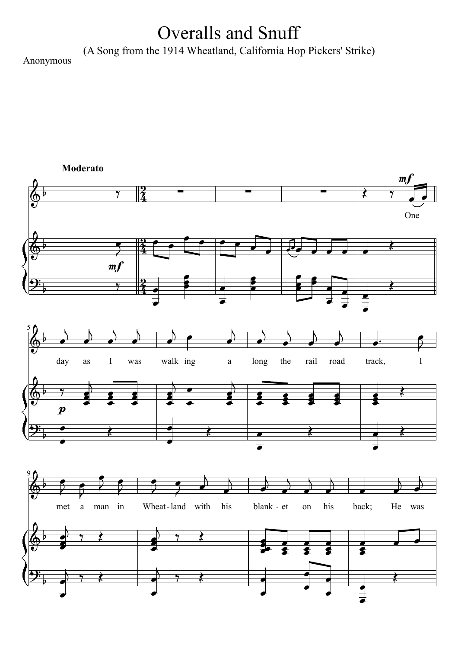## Overalls and Snuff

(A Song from the 1914 Wheatland, California Hop Pickers' Strike)

Anonymous

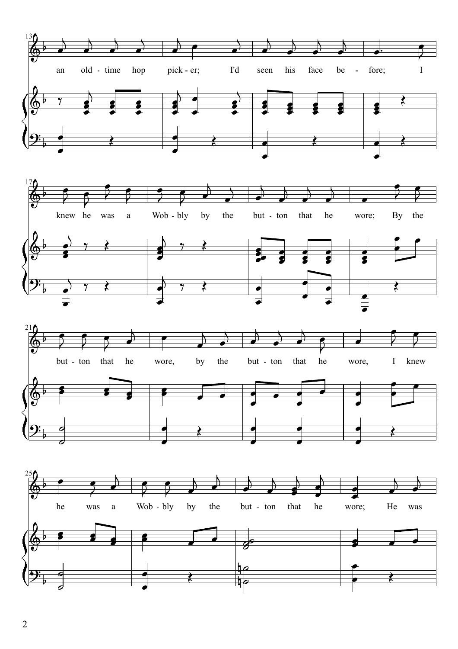



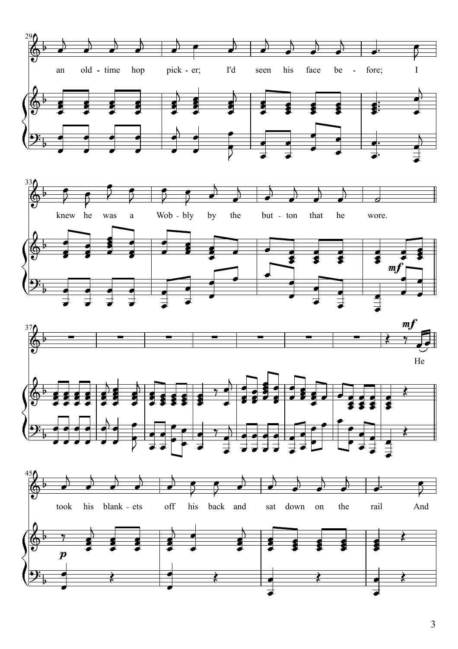





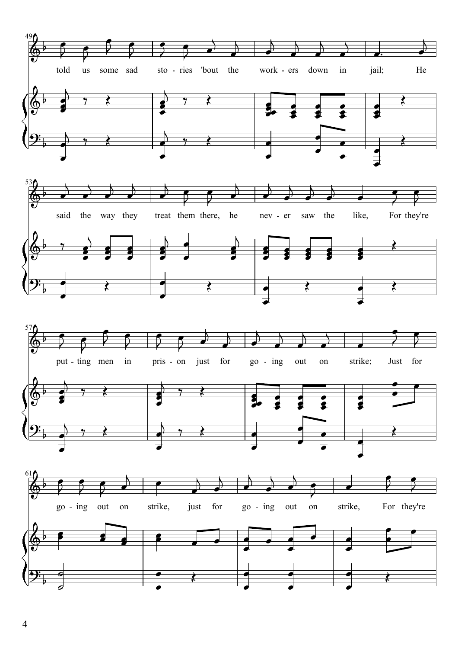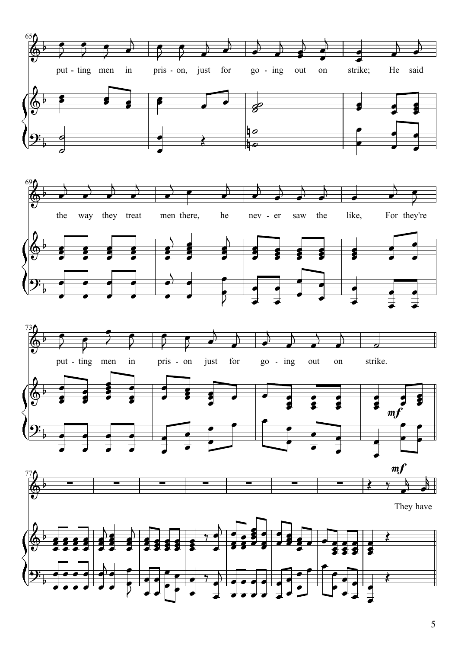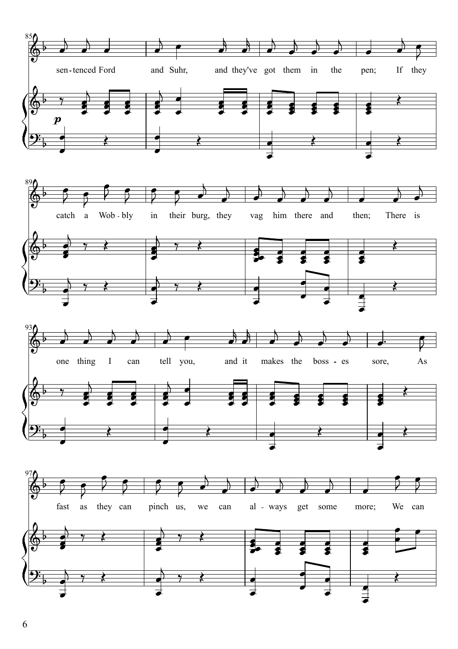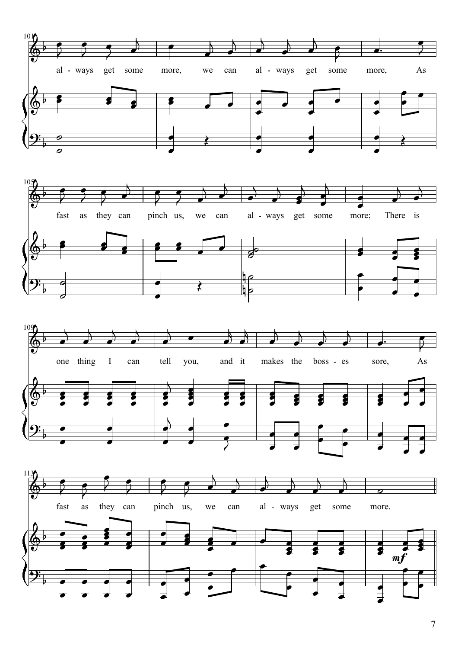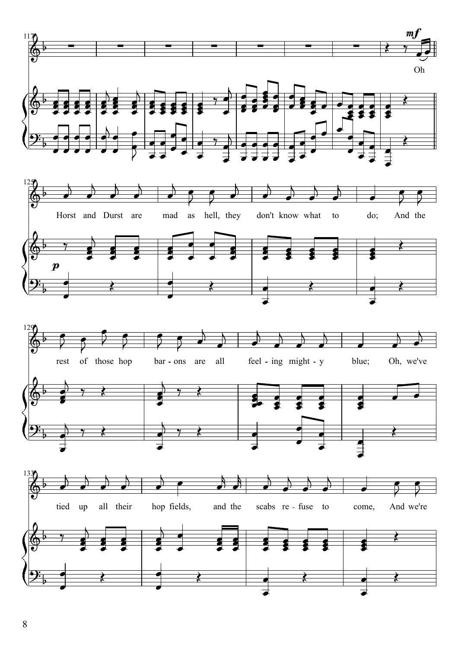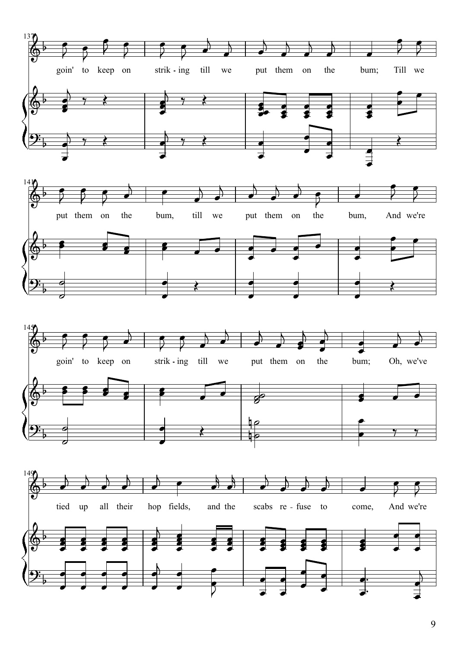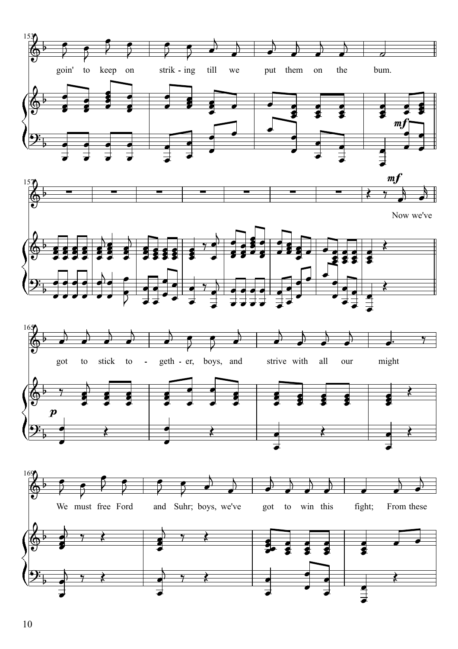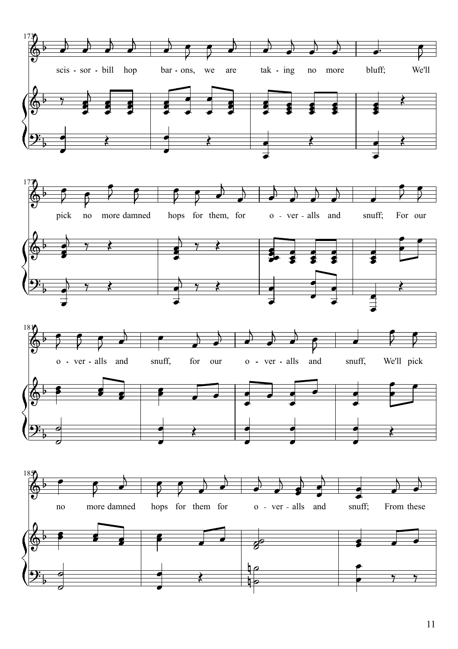